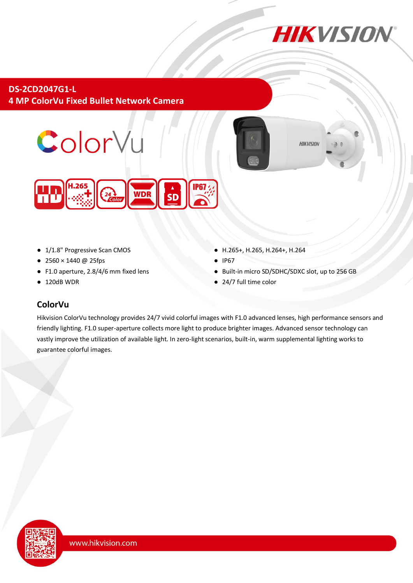

**HIKVISION** 

### **DS-2CD2047G1-L 4 MP ColorVu Fixed Bullet Network Camera**





- 1/1.8" Progressive Scan CMOS
- 2560 × 1440 @ 25fps
- F1.0 aperture, 2.8/4/6 mm fixed lens
- 120dB WDR
- H.265+, H.265, H.264+, H.264
- **IP67**
- Built-in micro SD/SDHC/SDXC slot, up to 256 GB
- 24/7 full time color

### **ColorVu**

Hikvision ColorVu technology provides 24/7 vivid colorful images with F1.0 advanced lenses, high performance sensors and friendly lighting. F1.0 super-aperture collects more light to produce brighter images. Advanced sensor technology can vastly improve the utilization of available light. In zero-light scenarios, built-in, warm supplemental lighting works to guarantee colorful images.

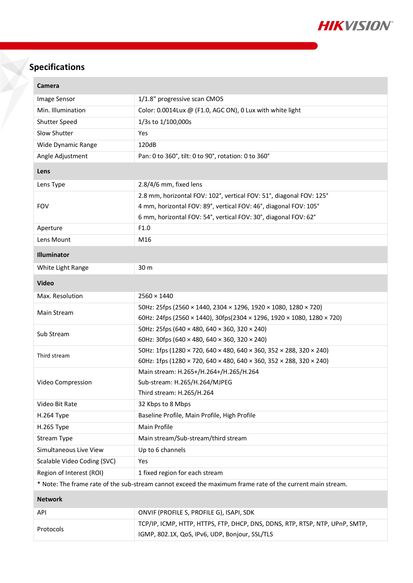

# **Specifications**

| Camera                                                                                                    |                                                                              |  |
|-----------------------------------------------------------------------------------------------------------|------------------------------------------------------------------------------|--|
| Image Sensor                                                                                              | 1/1.8" progressive scan CMOS                                                 |  |
| Min. Illumination                                                                                         | Color: 0.0014Lux @ (F1.0, AGC ON), 0 Lux with white light                    |  |
| Shutter Speed                                                                                             | 1/3s to 1/100,000s                                                           |  |
| Slow Shutter                                                                                              | Yes                                                                          |  |
| Wide Dynamic Range                                                                                        | 120dB                                                                        |  |
| Angle Adjustment                                                                                          | Pan: 0 to 360°, tilt: 0 to 90°, rotation: 0 to 360°                          |  |
| Lens                                                                                                      |                                                                              |  |
| Lens Type                                                                                                 | 2.8/4/6 mm, fixed lens                                                       |  |
| <b>FOV</b>                                                                                                | 2.8 mm, horizontal FOV: 102°, vertical FOV: 51°, diagonal FOV: 125°          |  |
|                                                                                                           | 4 mm, horizontal FOV: 89°, vertical FOV: 46°, diagonal FOV: 105°             |  |
|                                                                                                           | 6 mm, horizontal FOV: 54°, vertical FOV: 30°, diagonal FOV: 62°              |  |
| Aperture                                                                                                  | F1.0                                                                         |  |
| Lens Mount                                                                                                | M16                                                                          |  |
| Illuminator                                                                                               |                                                                              |  |
| White Light Range                                                                                         | 30 m                                                                         |  |
| <b>Video</b>                                                                                              |                                                                              |  |
| Max. Resolution                                                                                           | $2560 \times 1440$                                                           |  |
| Main Stream                                                                                               | 50Hz: 25fps (2560 × 1440, 2304 × 1296, 1920 × 1080, 1280 × 720)              |  |
|                                                                                                           | 60Hz: 24fps (2560 × 1440), 30fps(2304 × 1296, 1920 × 1080, 1280 × 720)       |  |
| Sub Stream                                                                                                | 50Hz: 25fps (640 × 480, 640 × 360, 320 × 240)                                |  |
|                                                                                                           | 60Hz: 30fps (640 × 480, 640 × 360, 320 × 240)                                |  |
| Third stream                                                                                              | 50Hz: 1fps (1280 × 720, 640 × 480, 640 × 360, 352 × 288, 320 × 240)          |  |
|                                                                                                           | 60Hz: 1fps (1280 × 720, 640 × 480, 640 × 360, 352 × 288, 320 × 240)          |  |
| Video Compression                                                                                         | Main stream: H.265+/H.264+/H.265/H.264<br>Sub-stream: H.265/H.264/MJPEG      |  |
|                                                                                                           | Third stream: H.265/H.264                                                    |  |
| Video Bit Rate                                                                                            | 32 Kbps to 8 Mbps                                                            |  |
| H.264 Type                                                                                                | Baseline Profile, Main Profile, High Profile                                 |  |
| H.265 Type                                                                                                | Main Profile                                                                 |  |
| <b>Stream Type</b>                                                                                        | Main stream/Sub-stream/third stream                                          |  |
| Simultaneous Live View                                                                                    | Up to 6 channels                                                             |  |
| Scalable Video Coding (SVC)                                                                               | Yes                                                                          |  |
| Region of Interest (ROI)                                                                                  | 1 fixed region for each stream                                               |  |
| * Note: The frame rate of the sub-stream cannot exceed the maximum frame rate of the current main stream. |                                                                              |  |
| <b>Network</b>                                                                                            |                                                                              |  |
| API                                                                                                       | ONVIF (PROFILE S, PROFILE G), ISAPI, SDK                                     |  |
| Protocols                                                                                                 | TCP/IP, ICMP, HTTP, HTTPS, FTP, DHCP, DNS, DDNS, RTP, RTSP, NTP, UPnP, SMTP, |  |
|                                                                                                           | IGMP, 802.1X, QoS, IPv6, UDP, Bonjour, SSL/TLS                               |  |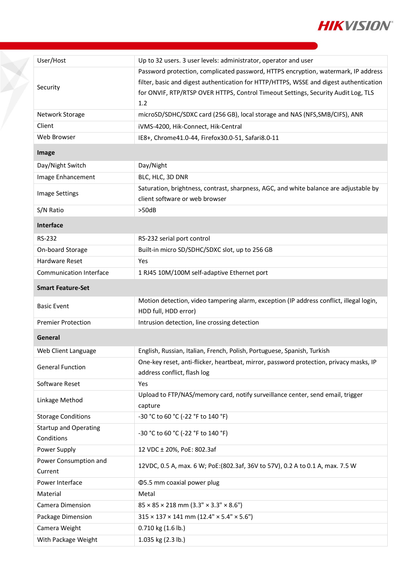

| User/Host                    | Up to 32 users. 3 user levels: administrator, operator and user                           |
|------------------------------|-------------------------------------------------------------------------------------------|
| Security                     | Password protection, complicated password, HTTPS encryption, watermark, IP address        |
|                              | filter, basic and digest authentication for HTTP/HTTPS, WSSE and digest authentication    |
|                              | for ONVIF, RTP/RTSP OVER HTTPS, Control Timeout Settings, Security Audit Log, TLS         |
|                              | 1.2                                                                                       |
| Network Storage              | microSD/SDHC/SDXC card (256 GB), local storage and NAS (NFS, SMB/CIFS), ANR               |
| Client                       | iVMS-4200, Hik-Connect, Hik-Central                                                       |
| Web Browser                  | IE8+, Chrome41.0-44, Firefox30.0-51, Safari8.0-11                                         |
| Image                        |                                                                                           |
| Day/Night Switch             | Day/Night                                                                                 |
| Image Enhancement            | BLC, HLC, 3D DNR                                                                          |
| <b>Image Settings</b>        | Saturation, brightness, contrast, sharpness, AGC, and white balance are adjustable by     |
|                              | client software or web browser                                                            |
| S/N Ratio                    | >50dB                                                                                     |
| Interface                    |                                                                                           |
| <b>RS-232</b>                | RS-232 serial port control                                                                |
| On-board Storage             | Built-in micro SD/SDHC/SDXC slot, up to 256 GB                                            |
| <b>Hardware Reset</b>        | Yes                                                                                       |
| Communication Interface      | 1 RJ45 10M/100M self-adaptive Ethernet port                                               |
| <b>Smart Feature-Set</b>     |                                                                                           |
|                              | Motion detection, video tampering alarm, exception (IP address conflict, illegal login,   |
| <b>Basic Event</b>           | HDD full, HDD error)                                                                      |
| <b>Premier Protection</b>    | Intrusion detection, line crossing detection                                              |
| General                      |                                                                                           |
| Web Client Language          | English, Russian, Italian, French, Polish, Portuguese, Spanish, Turkish                   |
| <b>General Function</b>      | One-key reset, anti-flicker, heartbeat, mirror, password protection, privacy masks, IP    |
|                              | address conflict, flash log                                                               |
| Software Reset               | Yes                                                                                       |
| Linkage Method               | Upload to FTP/NAS/memory card, notify surveillance center, send email, trigger<br>capture |
| <b>Storage Conditions</b>    | -30 °C to 60 °C (-22 °F to 140 °F)                                                        |
| <b>Startup and Operating</b> |                                                                                           |
| Conditions                   | -30 °C to 60 °C (-22 °F to 140 °F)                                                        |
| Power Supply                 | 12 VDC ± 20%, PoE: 802.3af                                                                |
| Power Consumption and        | 12VDC, 0.5 A, max. 6 W; PoE:(802.3af, 36V to 57V), 0.2 A to 0.1 A, max. 7.5 W             |
| Current                      |                                                                                           |
| Power Interface              | <b>Φ5.5 mm coaxial power plug</b>                                                         |
| Material                     | Metal                                                                                     |
| Camera Dimension             | $85 \times 85 \times 218$ mm $(3.3" \times 3.3" \times 8.6")$                             |
| Package Dimension            | $315 \times 137 \times 141$ mm $(12.4" \times 5.4" \times 5.6")$                          |
| Camera Weight                | 0.710 kg (1.6 lb.)                                                                        |
| With Package Weight          | 1.035 kg (2.3 lb.)                                                                        |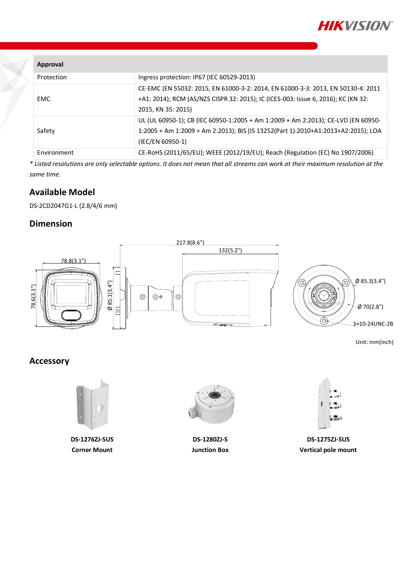

| Approval    |                                                                                                                                                                                             |
|-------------|---------------------------------------------------------------------------------------------------------------------------------------------------------------------------------------------|
| Protection  | Ingress protection: IP67 (IEC 60529-2013)                                                                                                                                                   |
| EMC         | CE-EMC (EN 55032: 2015, EN 61000-3-2: 2014, EN 61000-3-3: 2013, EN 50130-4: 2011<br>+A1: 2014); RCM (AS/NZS CISPR 32: 2015); IC (ICES-003: Issue 6, 2016); KC (KN 32:<br>2015, KN 35: 2015) |
| Safety      | UL (UL 60950-1); CB (IEC 60950-1:2005 + Am 1:2009 + Am 2:2013); CE-LVD (EN 60950-<br>1:2005 + Am 1:2009 + Am 2:2013); BIS (IS 13252(Part 1):2010+A1:2013+A2:2015); LOA<br>(IEC/EN 60950-1)  |
| Environment | CE-RoHS (2011/65/EU); WEEE (2012/19/EU); Reach (Regulation (EC) No 1907/2006)                                                                                                               |

*\* Listed resolutions are only selectable options. It does not mean that all streams can work at their maximum resolution at the same time.*

#### **Available Model**

DS-2CD2047G1-L (2.8/4/6 mm)

#### **Dimension**



Unit: mm(inch)

## **Accessory**



**DS-1276ZJ-SUS Corner Mount**



**DS-1280ZJ-S Junction Box**



**DS-1275ZJ-SUS Vertical pole mount**